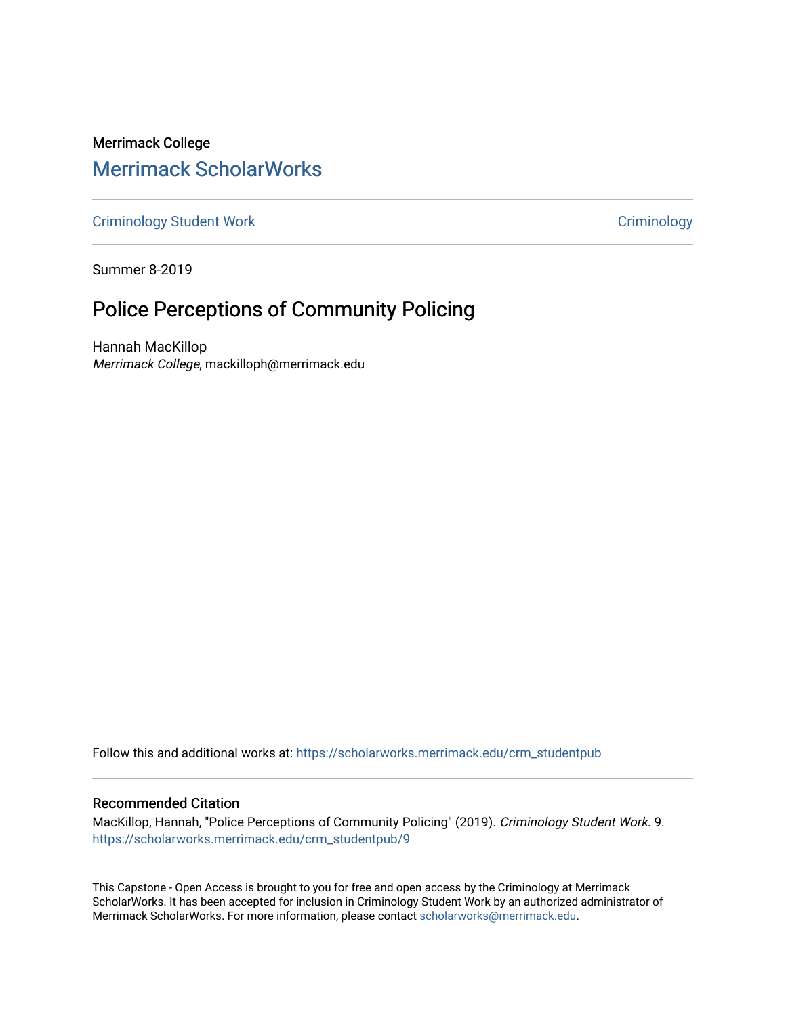# Merrimack College [Merrimack ScholarWorks](https://scholarworks.merrimack.edu/)

[Criminology Student Work](https://scholarworks.merrimack.edu/crm_studentpub) **Criminology** Criminology

Summer 8-2019

# Police Perceptions of Community Policing

Hannah MacKillop Merrimack College, mackilloph@merrimack.edu

Follow this and additional works at: [https://scholarworks.merrimack.edu/crm\\_studentpub](https://scholarworks.merrimack.edu/crm_studentpub?utm_source=scholarworks.merrimack.edu%2Fcrm_studentpub%2F9&utm_medium=PDF&utm_campaign=PDFCoverPages) 

#### Recommended Citation

MacKillop, Hannah, "Police Perceptions of Community Policing" (2019). Criminology Student Work. 9. [https://scholarworks.merrimack.edu/crm\\_studentpub/9](https://scholarworks.merrimack.edu/crm_studentpub/9?utm_source=scholarworks.merrimack.edu%2Fcrm_studentpub%2F9&utm_medium=PDF&utm_campaign=PDFCoverPages) 

This Capstone - Open Access is brought to you for free and open access by the Criminology at Merrimack ScholarWorks. It has been accepted for inclusion in Criminology Student Work by an authorized administrator of Merrimack ScholarWorks. For more information, please contact [scholarworks@merrimack.edu](mailto:scholarworks@merrimack.edu).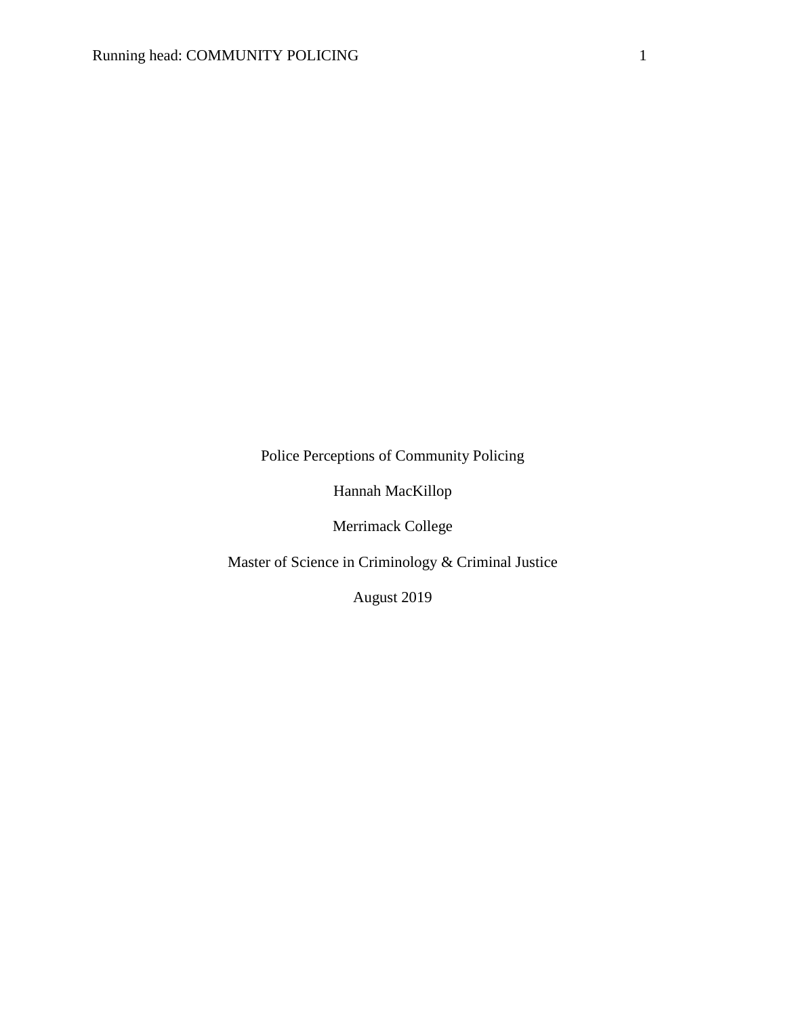Police Perceptions of Community Policing

Hannah MacKillop

Merrimack College

Master of Science in Criminology & Criminal Justice

August 2019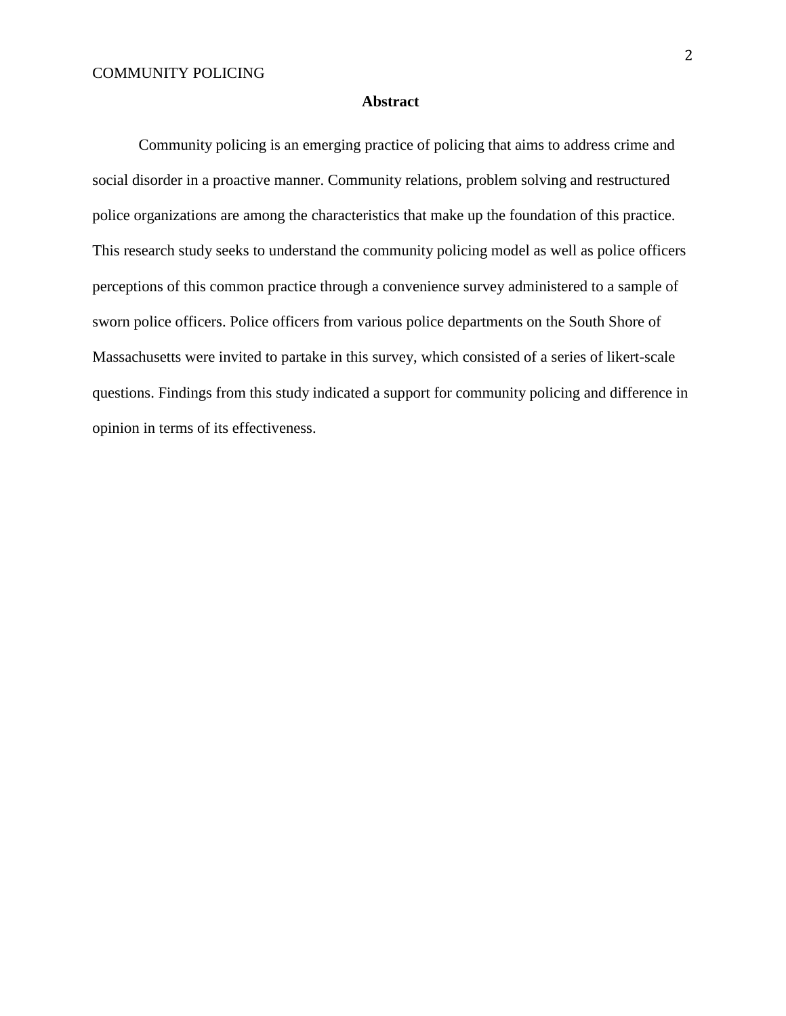#### **Abstract**

Community policing is an emerging practice of policing that aims to address crime and social disorder in a proactive manner. Community relations, problem solving and restructured police organizations are among the characteristics that make up the foundation of this practice. This research study seeks to understand the community policing model as well as police officers perceptions of this common practice through a convenience survey administered to a sample of sworn police officers. Police officers from various police departments on the South Shore of Massachusetts were invited to partake in this survey, which consisted of a series of likert-scale questions. Findings from this study indicated a support for community policing and difference in opinion in terms of its effectiveness.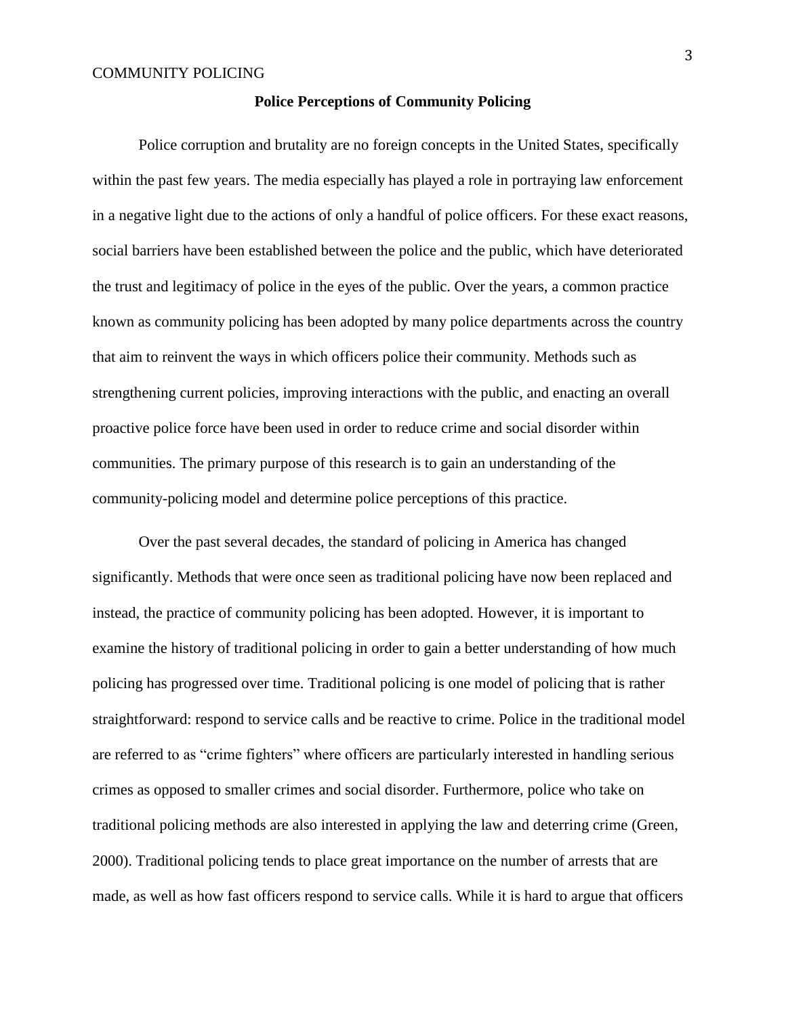#### **Police Perceptions of Community Policing**

Police corruption and brutality are no foreign concepts in the United States, specifically within the past few years. The media especially has played a role in portraying law enforcement in a negative light due to the actions of only a handful of police officers. For these exact reasons, social barriers have been established between the police and the public, which have deteriorated the trust and legitimacy of police in the eyes of the public. Over the years, a common practice known as community policing has been adopted by many police departments across the country that aim to reinvent the ways in which officers police their community. Methods such as strengthening current policies, improving interactions with the public, and enacting an overall proactive police force have been used in order to reduce crime and social disorder within communities. The primary purpose of this research is to gain an understanding of the community-policing model and determine police perceptions of this practice.

Over the past several decades, the standard of policing in America has changed significantly. Methods that were once seen as traditional policing have now been replaced and instead, the practice of community policing has been adopted. However, it is important to examine the history of traditional policing in order to gain a better understanding of how much policing has progressed over time. Traditional policing is one model of policing that is rather straightforward: respond to service calls and be reactive to crime. Police in the traditional model are referred to as "crime fighters" where officers are particularly interested in handling serious crimes as opposed to smaller crimes and social disorder. Furthermore, police who take on traditional policing methods are also interested in applying the law and deterring crime (Green, 2000). Traditional policing tends to place great importance on the number of arrests that are made, as well as how fast officers respond to service calls. While it is hard to argue that officers

3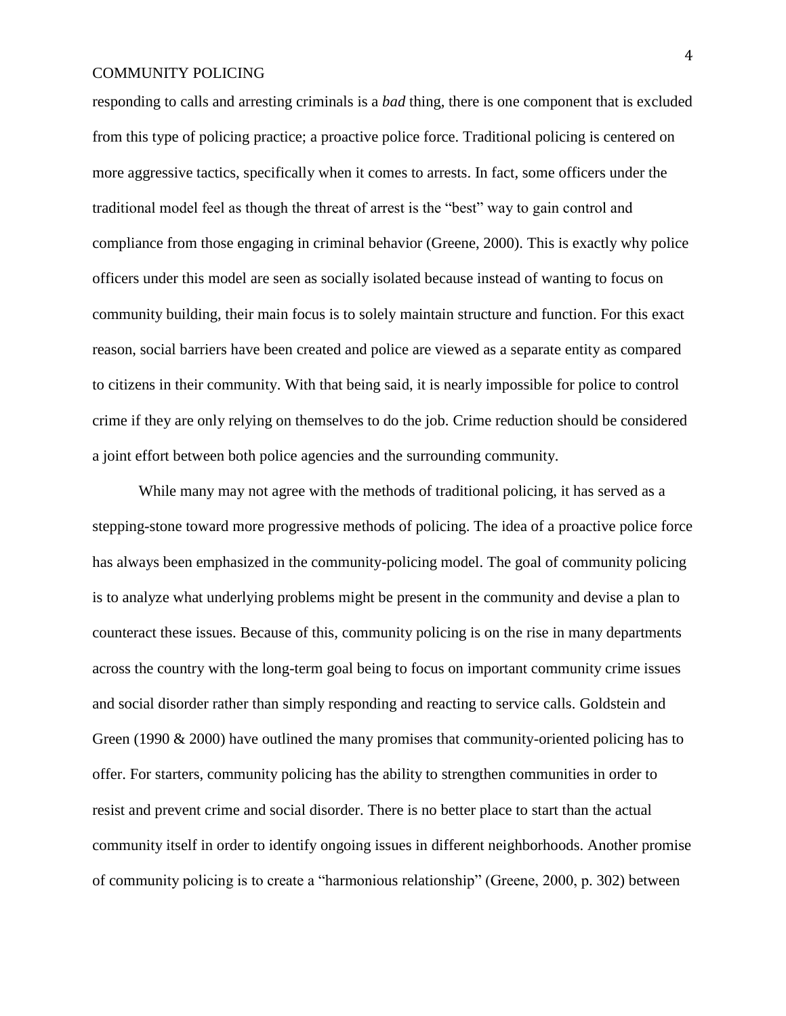responding to calls and arresting criminals is a *bad* thing, there is one component that is excluded from this type of policing practice; a proactive police force. Traditional policing is centered on more aggressive tactics, specifically when it comes to arrests. In fact, some officers under the traditional model feel as though the threat of arrest is the "best" way to gain control and compliance from those engaging in criminal behavior (Greene, 2000). This is exactly why police officers under this model are seen as socially isolated because instead of wanting to focus on community building, their main focus is to solely maintain structure and function. For this exact reason, social barriers have been created and police are viewed as a separate entity as compared to citizens in their community. With that being said, it is nearly impossible for police to control crime if they are only relying on themselves to do the job. Crime reduction should be considered a joint effort between both police agencies and the surrounding community.

While many may not agree with the methods of traditional policing, it has served as a stepping-stone toward more progressive methods of policing. The idea of a proactive police force has always been emphasized in the community-policing model. The goal of community policing is to analyze what underlying problems might be present in the community and devise a plan to counteract these issues. Because of this, community policing is on the rise in many departments across the country with the long-term goal being to focus on important community crime issues and social disorder rather than simply responding and reacting to service calls. Goldstein and Green (1990  $\&$  2000) have outlined the many promises that community-oriented policing has to offer. For starters, community policing has the ability to strengthen communities in order to resist and prevent crime and social disorder. There is no better place to start than the actual community itself in order to identify ongoing issues in different neighborhoods. Another promise of community policing is to create a "harmonious relationship" (Greene, 2000, p. 302) between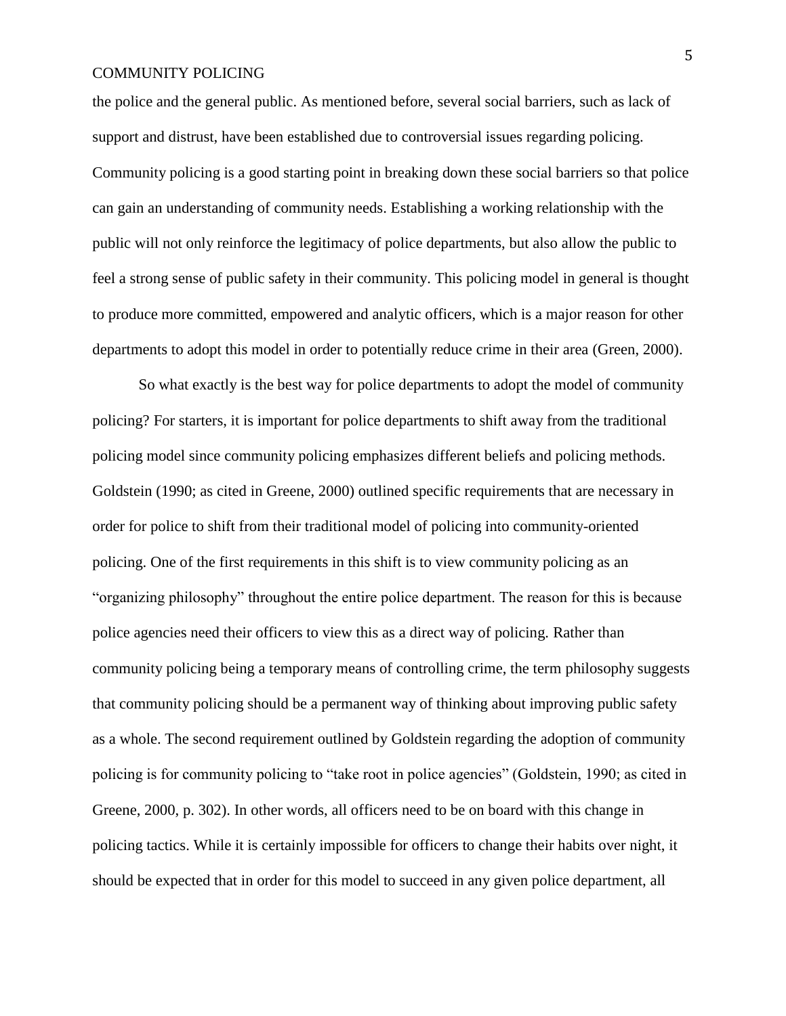the police and the general public. As mentioned before, several social barriers, such as lack of support and distrust, have been established due to controversial issues regarding policing. Community policing is a good starting point in breaking down these social barriers so that police can gain an understanding of community needs. Establishing a working relationship with the public will not only reinforce the legitimacy of police departments, but also allow the public to feel a strong sense of public safety in their community. This policing model in general is thought to produce more committed, empowered and analytic officers, which is a major reason for other departments to adopt this model in order to potentially reduce crime in their area (Green, 2000).

So what exactly is the best way for police departments to adopt the model of community policing? For starters, it is important for police departments to shift away from the traditional policing model since community policing emphasizes different beliefs and policing methods. Goldstein (1990; as cited in Greene, 2000) outlined specific requirements that are necessary in order for police to shift from their traditional model of policing into community-oriented policing. One of the first requirements in this shift is to view community policing as an "organizing philosophy" throughout the entire police department. The reason for this is because police agencies need their officers to view this as a direct way of policing. Rather than community policing being a temporary means of controlling crime, the term philosophy suggests that community policing should be a permanent way of thinking about improving public safety as a whole. The second requirement outlined by Goldstein regarding the adoption of community policing is for community policing to "take root in police agencies" (Goldstein, 1990; as cited in Greene, 2000, p. 302). In other words, all officers need to be on board with this change in policing tactics. While it is certainly impossible for officers to change their habits over night, it should be expected that in order for this model to succeed in any given police department, all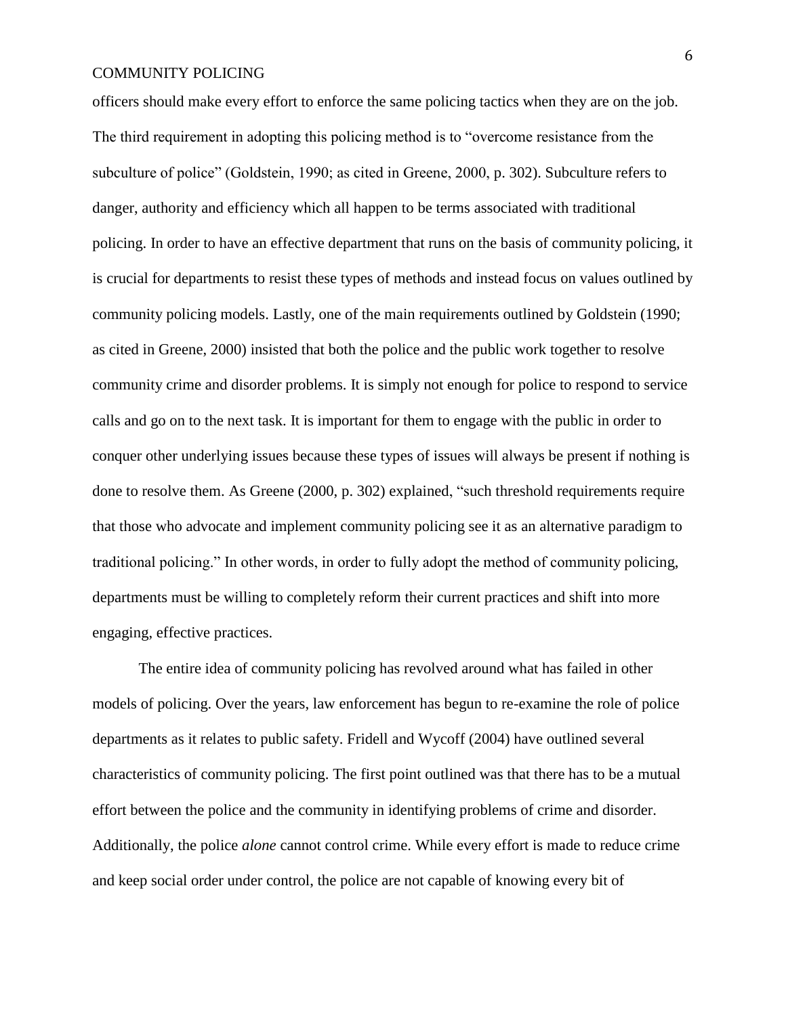officers should make every effort to enforce the same policing tactics when they are on the job. The third requirement in adopting this policing method is to "overcome resistance from the subculture of police" (Goldstein, 1990; as cited in Greene, 2000, p. 302). Subculture refers to danger, authority and efficiency which all happen to be terms associated with traditional policing. In order to have an effective department that runs on the basis of community policing, it is crucial for departments to resist these types of methods and instead focus on values outlined by community policing models. Lastly, one of the main requirements outlined by Goldstein (1990; as cited in Greene, 2000) insisted that both the police and the public work together to resolve community crime and disorder problems. It is simply not enough for police to respond to service calls and go on to the next task. It is important for them to engage with the public in order to conquer other underlying issues because these types of issues will always be present if nothing is done to resolve them. As Greene (2000, p. 302) explained, "such threshold requirements require that those who advocate and implement community policing see it as an alternative paradigm to traditional policing." In other words, in order to fully adopt the method of community policing, departments must be willing to completely reform their current practices and shift into more engaging, effective practices.

The entire idea of community policing has revolved around what has failed in other models of policing. Over the years, law enforcement has begun to re-examine the role of police departments as it relates to public safety. Fridell and Wycoff (2004) have outlined several characteristics of community policing. The first point outlined was that there has to be a mutual effort between the police and the community in identifying problems of crime and disorder. Additionally, the police *alone* cannot control crime. While every effort is made to reduce crime and keep social order under control, the police are not capable of knowing every bit of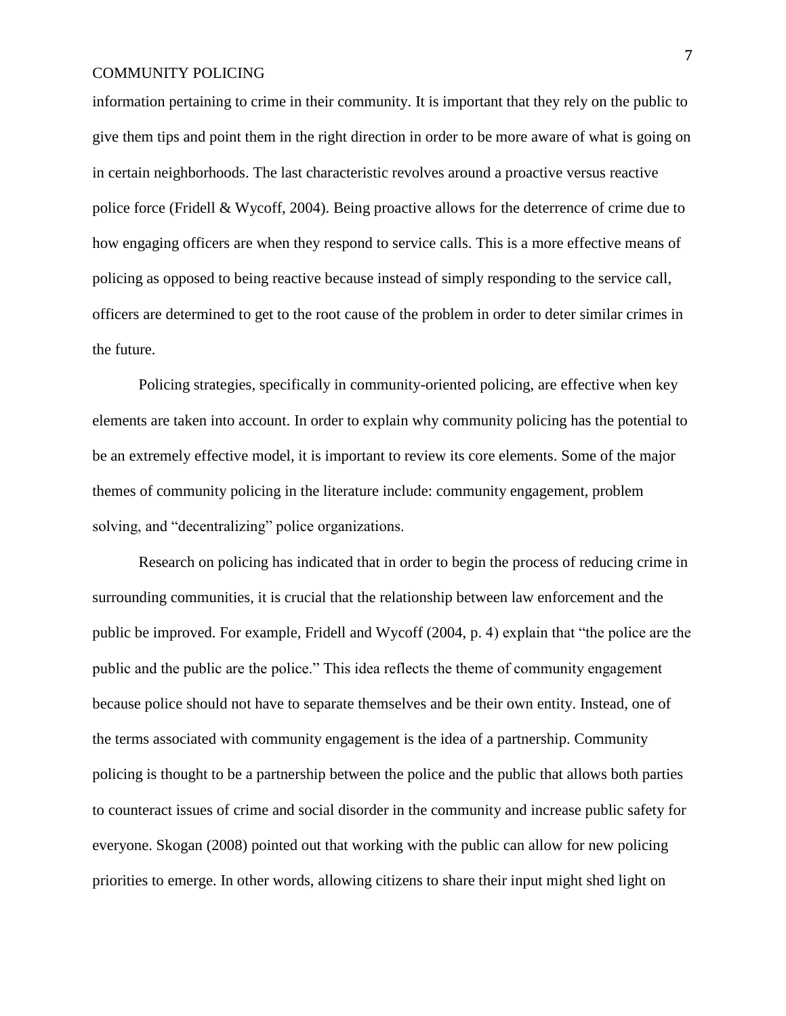information pertaining to crime in their community. It is important that they rely on the public to give them tips and point them in the right direction in order to be more aware of what is going on in certain neighborhoods. The last characteristic revolves around a proactive versus reactive police force (Fridell & Wycoff, 2004). Being proactive allows for the deterrence of crime due to how engaging officers are when they respond to service calls. This is a more effective means of policing as opposed to being reactive because instead of simply responding to the service call, officers are determined to get to the root cause of the problem in order to deter similar crimes in the future.

Policing strategies, specifically in community-oriented policing, are effective when key elements are taken into account. In order to explain why community policing has the potential to be an extremely effective model, it is important to review its core elements. Some of the major themes of community policing in the literature include: community engagement, problem solving, and "decentralizing" police organizations.

Research on policing has indicated that in order to begin the process of reducing crime in surrounding communities, it is crucial that the relationship between law enforcement and the public be improved. For example, Fridell and Wycoff (2004, p. 4) explain that "the police are the public and the public are the police." This idea reflects the theme of community engagement because police should not have to separate themselves and be their own entity. Instead, one of the terms associated with community engagement is the idea of a partnership. Community policing is thought to be a partnership between the police and the public that allows both parties to counteract issues of crime and social disorder in the community and increase public safety for everyone. Skogan (2008) pointed out that working with the public can allow for new policing priorities to emerge. In other words, allowing citizens to share their input might shed light on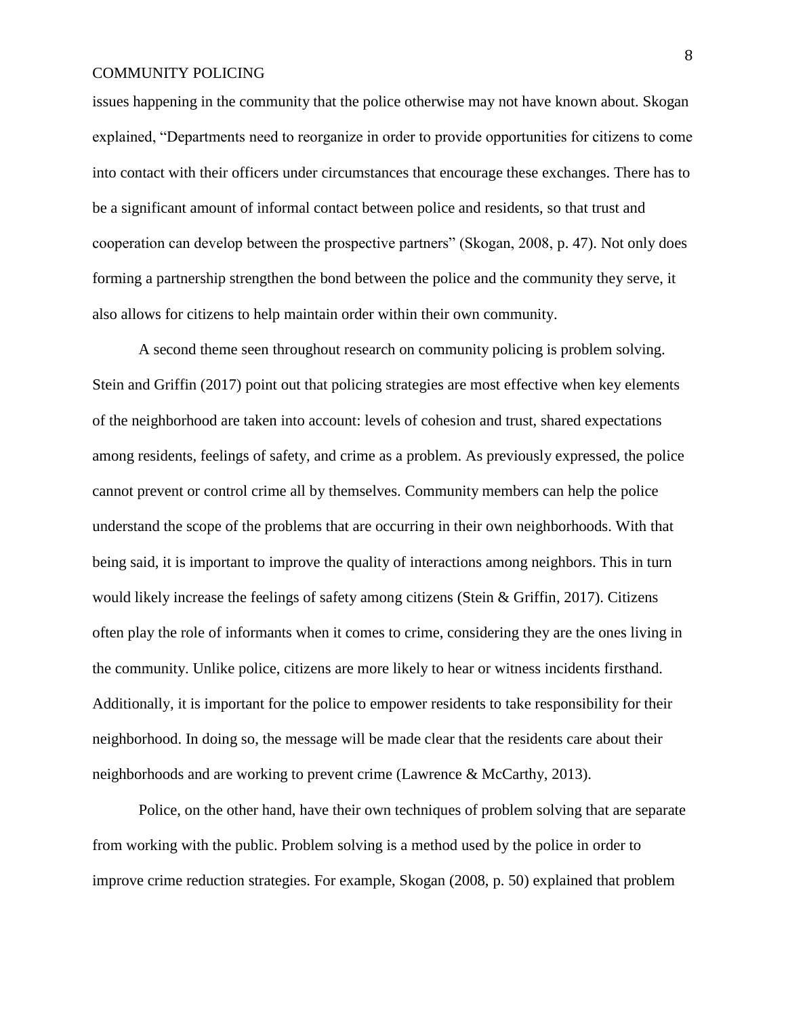issues happening in the community that the police otherwise may not have known about. Skogan explained, "Departments need to reorganize in order to provide opportunities for citizens to come into contact with their officers under circumstances that encourage these exchanges. There has to be a significant amount of informal contact between police and residents, so that trust and cooperation can develop between the prospective partners" (Skogan, 2008, p. 47). Not only does forming a partnership strengthen the bond between the police and the community they serve, it also allows for citizens to help maintain order within their own community.

A second theme seen throughout research on community policing is problem solving. Stein and Griffin (2017) point out that policing strategies are most effective when key elements of the neighborhood are taken into account: levels of cohesion and trust, shared expectations among residents, feelings of safety, and crime as a problem. As previously expressed, the police cannot prevent or control crime all by themselves. Community members can help the police understand the scope of the problems that are occurring in their own neighborhoods. With that being said, it is important to improve the quality of interactions among neighbors. This in turn would likely increase the feelings of safety among citizens (Stein & Griffin, 2017). Citizens often play the role of informants when it comes to crime, considering they are the ones living in the community. Unlike police, citizens are more likely to hear or witness incidents firsthand. Additionally, it is important for the police to empower residents to take responsibility for their neighborhood. In doing so, the message will be made clear that the residents care about their neighborhoods and are working to prevent crime (Lawrence & McCarthy, 2013).

Police, on the other hand, have their own techniques of problem solving that are separate from working with the public. Problem solving is a method used by the police in order to improve crime reduction strategies. For example, Skogan (2008, p. 50) explained that problem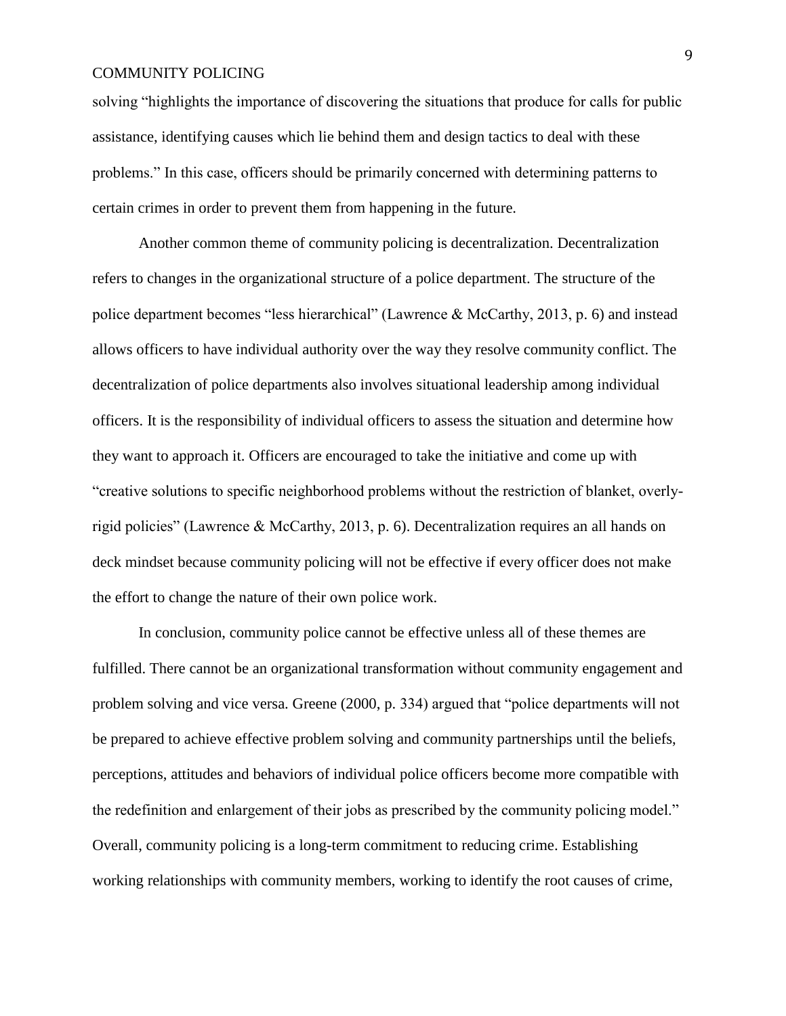solving "highlights the importance of discovering the situations that produce for calls for public assistance, identifying causes which lie behind them and design tactics to deal with these problems." In this case, officers should be primarily concerned with determining patterns to certain crimes in order to prevent them from happening in the future.

Another common theme of community policing is decentralization. Decentralization refers to changes in the organizational structure of a police department. The structure of the police department becomes "less hierarchical" (Lawrence & McCarthy, 2013, p. 6) and instead allows officers to have individual authority over the way they resolve community conflict. The decentralization of police departments also involves situational leadership among individual officers. It is the responsibility of individual officers to assess the situation and determine how they want to approach it. Officers are encouraged to take the initiative and come up with "creative solutions to specific neighborhood problems without the restriction of blanket, overlyrigid policies" (Lawrence & McCarthy, 2013, p. 6). Decentralization requires an all hands on deck mindset because community policing will not be effective if every officer does not make the effort to change the nature of their own police work.

In conclusion, community police cannot be effective unless all of these themes are fulfilled. There cannot be an organizational transformation without community engagement and problem solving and vice versa. Greene (2000, p. 334) argued that "police departments will not be prepared to achieve effective problem solving and community partnerships until the beliefs, perceptions, attitudes and behaviors of individual police officers become more compatible with the redefinition and enlargement of their jobs as prescribed by the community policing model." Overall, community policing is a long-term commitment to reducing crime. Establishing working relationships with community members, working to identify the root causes of crime,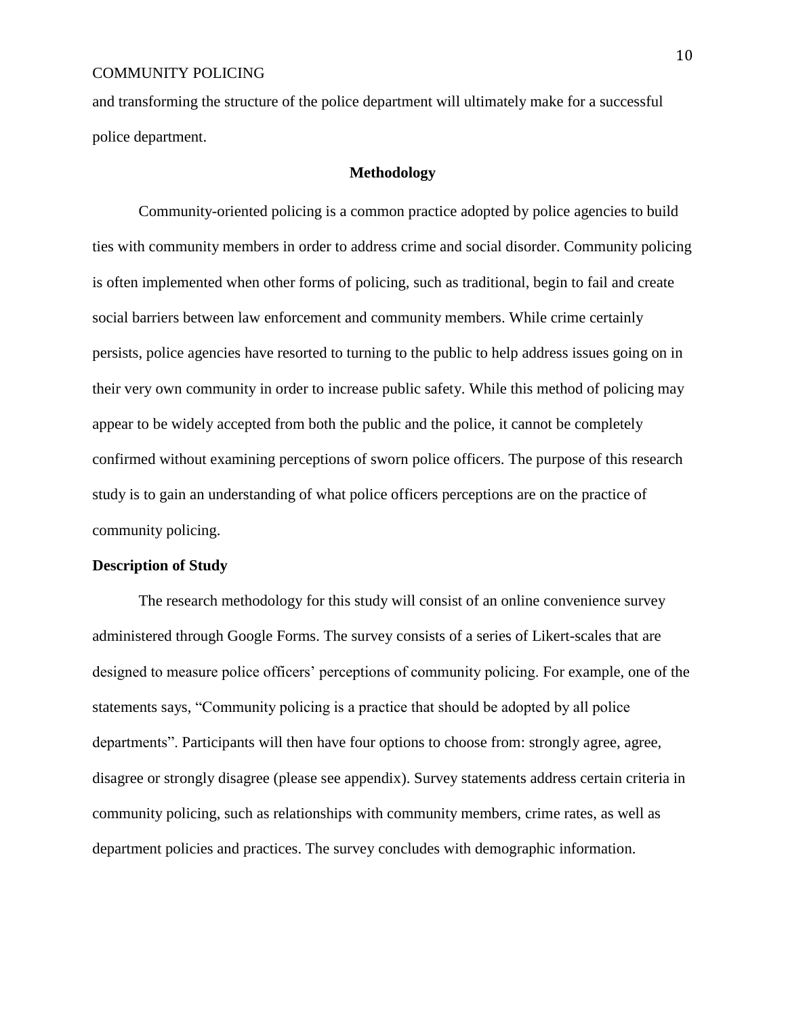and transforming the structure of the police department will ultimately make for a successful police department.

### **Methodology**

Community-oriented policing is a common practice adopted by police agencies to build ties with community members in order to address crime and social disorder. Community policing is often implemented when other forms of policing, such as traditional, begin to fail and create social barriers between law enforcement and community members. While crime certainly persists, police agencies have resorted to turning to the public to help address issues going on in their very own community in order to increase public safety. While this method of policing may appear to be widely accepted from both the public and the police, it cannot be completely confirmed without examining perceptions of sworn police officers. The purpose of this research study is to gain an understanding of what police officers perceptions are on the practice of community policing.

#### **Description of Study**

The research methodology for this study will consist of an online convenience survey administered through Google Forms. The survey consists of a series of Likert-scales that are designed to measure police officers' perceptions of community policing. For example, one of the statements says, "Community policing is a practice that should be adopted by all police departments". Participants will then have four options to choose from: strongly agree, agree, disagree or strongly disagree (please see appendix). Survey statements address certain criteria in community policing, such as relationships with community members, crime rates, as well as department policies and practices. The survey concludes with demographic information.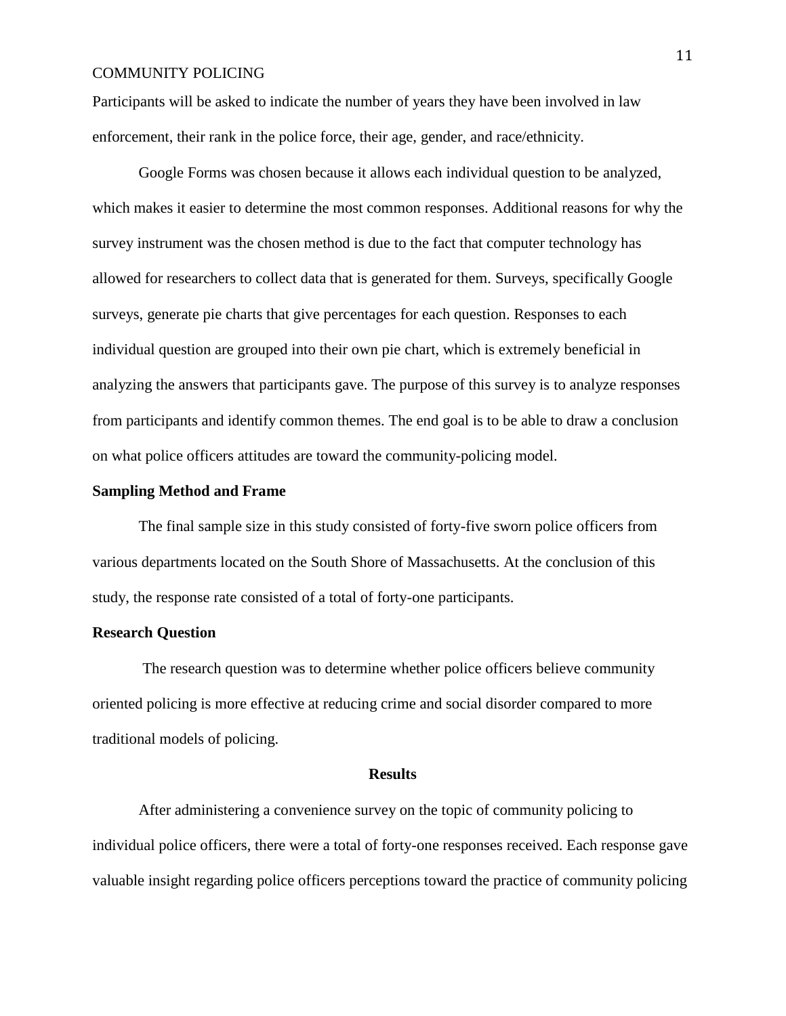Participants will be asked to indicate the number of years they have been involved in law enforcement, their rank in the police force, their age, gender, and race/ethnicity.

Google Forms was chosen because it allows each individual question to be analyzed, which makes it easier to determine the most common responses. Additional reasons for why the survey instrument was the chosen method is due to the fact that computer technology has allowed for researchers to collect data that is generated for them. Surveys, specifically Google surveys, generate pie charts that give percentages for each question. Responses to each individual question are grouped into their own pie chart, which is extremely beneficial in analyzing the answers that participants gave. The purpose of this survey is to analyze responses from participants and identify common themes. The end goal is to be able to draw a conclusion on what police officers attitudes are toward the community-policing model.

#### **Sampling Method and Frame**

The final sample size in this study consisted of forty-five sworn police officers from various departments located on the South Shore of Massachusetts. At the conclusion of this study, the response rate consisted of a total of forty-one participants.

#### **Research Question**

The research question was to determine whether police officers believe community oriented policing is more effective at reducing crime and social disorder compared to more traditional models of policing.

#### **Results**

 After administering a convenience survey on the topic of community policing to individual police officers, there were a total of forty-one responses received. Each response gave valuable insight regarding police officers perceptions toward the practice of community policing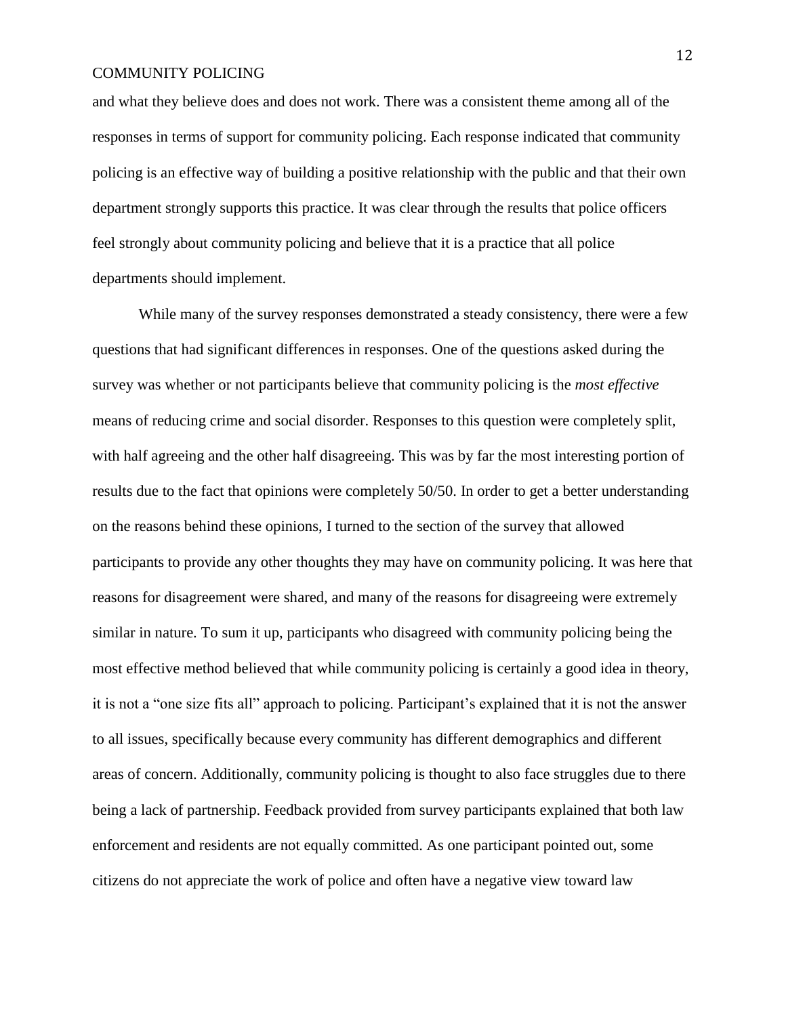and what they believe does and does not work. There was a consistent theme among all of the responses in terms of support for community policing. Each response indicated that community policing is an effective way of building a positive relationship with the public and that their own department strongly supports this practice. It was clear through the results that police officers feel strongly about community policing and believe that it is a practice that all police departments should implement.

While many of the survey responses demonstrated a steady consistency, there were a few questions that had significant differences in responses. One of the questions asked during the survey was whether or not participants believe that community policing is the *most effective* means of reducing crime and social disorder. Responses to this question were completely split, with half agreeing and the other half disagreeing. This was by far the most interesting portion of results due to the fact that opinions were completely 50/50. In order to get a better understanding on the reasons behind these opinions, I turned to the section of the survey that allowed participants to provide any other thoughts they may have on community policing. It was here that reasons for disagreement were shared, and many of the reasons for disagreeing were extremely similar in nature. To sum it up, participants who disagreed with community policing being the most effective method believed that while community policing is certainly a good idea in theory, it is not a "one size fits all" approach to policing. Participant's explained that it is not the answer to all issues, specifically because every community has different demographics and different areas of concern. Additionally, community policing is thought to also face struggles due to there being a lack of partnership. Feedback provided from survey participants explained that both law enforcement and residents are not equally committed. As one participant pointed out, some citizens do not appreciate the work of police and often have a negative view toward law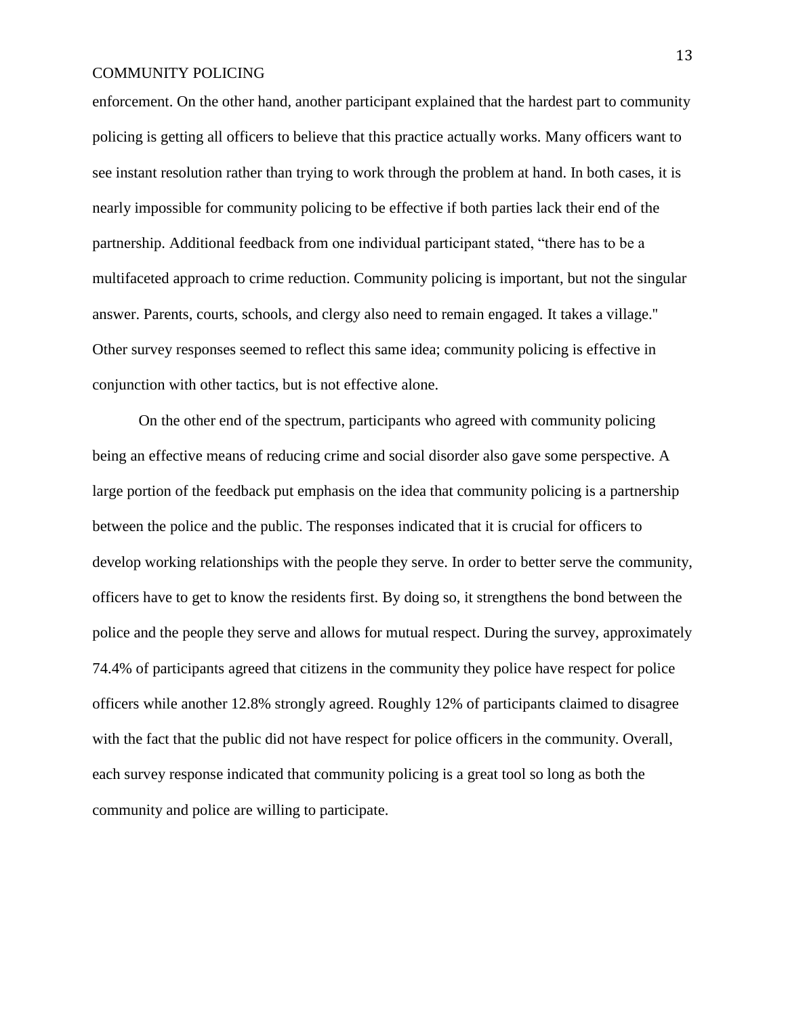enforcement. On the other hand, another participant explained that the hardest part to community policing is getting all officers to believe that this practice actually works. Many officers want to see instant resolution rather than trying to work through the problem at hand. In both cases, it is nearly impossible for community policing to be effective if both parties lack their end of the partnership. Additional feedback from one individual participant stated, "there has to be a multifaceted approach to crime reduction. Community policing is important, but not the singular answer. Parents, courts, schools, and clergy also need to remain engaged. It takes a village.'' Other survey responses seemed to reflect this same idea; community policing is effective in conjunction with other tactics, but is not effective alone.

 On the other end of the spectrum, participants who agreed with community policing being an effective means of reducing crime and social disorder also gave some perspective. A large portion of the feedback put emphasis on the idea that community policing is a partnership between the police and the public. The responses indicated that it is crucial for officers to develop working relationships with the people they serve. In order to better serve the community, officers have to get to know the residents first. By doing so, it strengthens the bond between the police and the people they serve and allows for mutual respect. During the survey, approximately 74.4% of participants agreed that citizens in the community they police have respect for police officers while another 12.8% strongly agreed. Roughly 12% of participants claimed to disagree with the fact that the public did not have respect for police officers in the community. Overall, each survey response indicated that community policing is a great tool so long as both the community and police are willing to participate.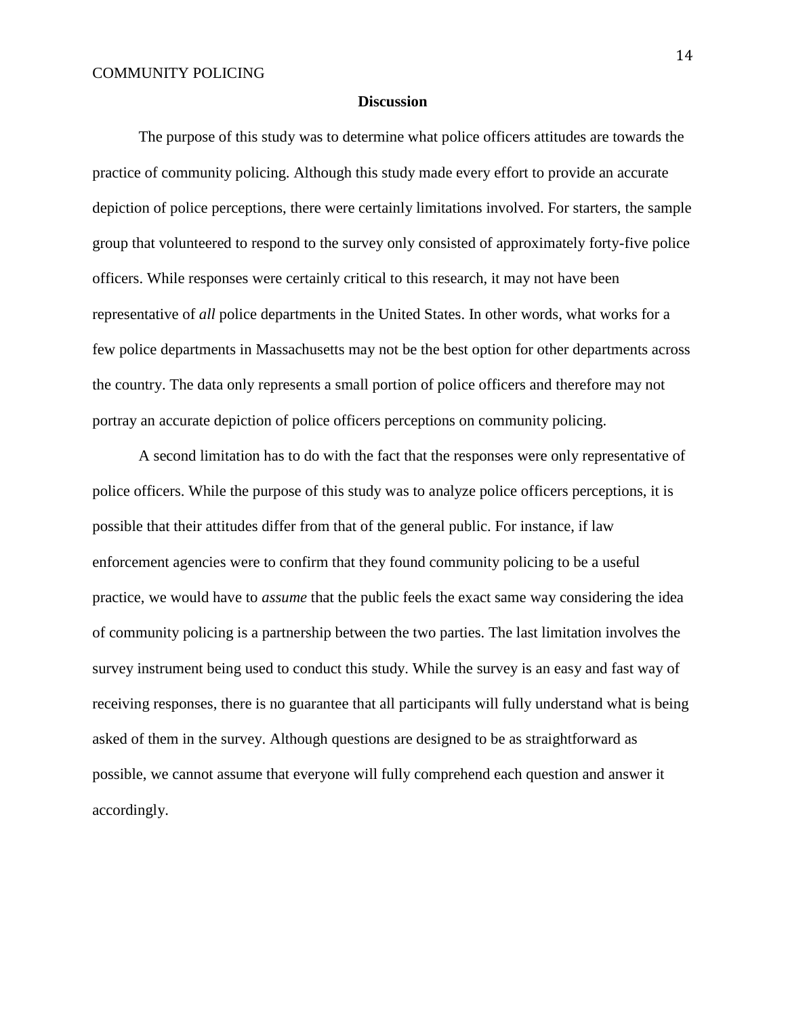#### **Discussion**

 The purpose of this study was to determine what police officers attitudes are towards the practice of community policing. Although this study made every effort to provide an accurate depiction of police perceptions, there were certainly limitations involved. For starters, the sample group that volunteered to respond to the survey only consisted of approximately forty-five police officers. While responses were certainly critical to this research, it may not have been representative of *all* police departments in the United States. In other words, what works for a few police departments in Massachusetts may not be the best option for other departments across the country. The data only represents a small portion of police officers and therefore may not portray an accurate depiction of police officers perceptions on community policing.

 A second limitation has to do with the fact that the responses were only representative of police officers. While the purpose of this study was to analyze police officers perceptions, it is possible that their attitudes differ from that of the general public. For instance, if law enforcement agencies were to confirm that they found community policing to be a useful practice, we would have to *assume* that the public feels the exact same way considering the idea of community policing is a partnership between the two parties. The last limitation involves the survey instrument being used to conduct this study. While the survey is an easy and fast way of receiving responses, there is no guarantee that all participants will fully understand what is being asked of them in the survey. Although questions are designed to be as straightforward as possible, we cannot assume that everyone will fully comprehend each question and answer it accordingly.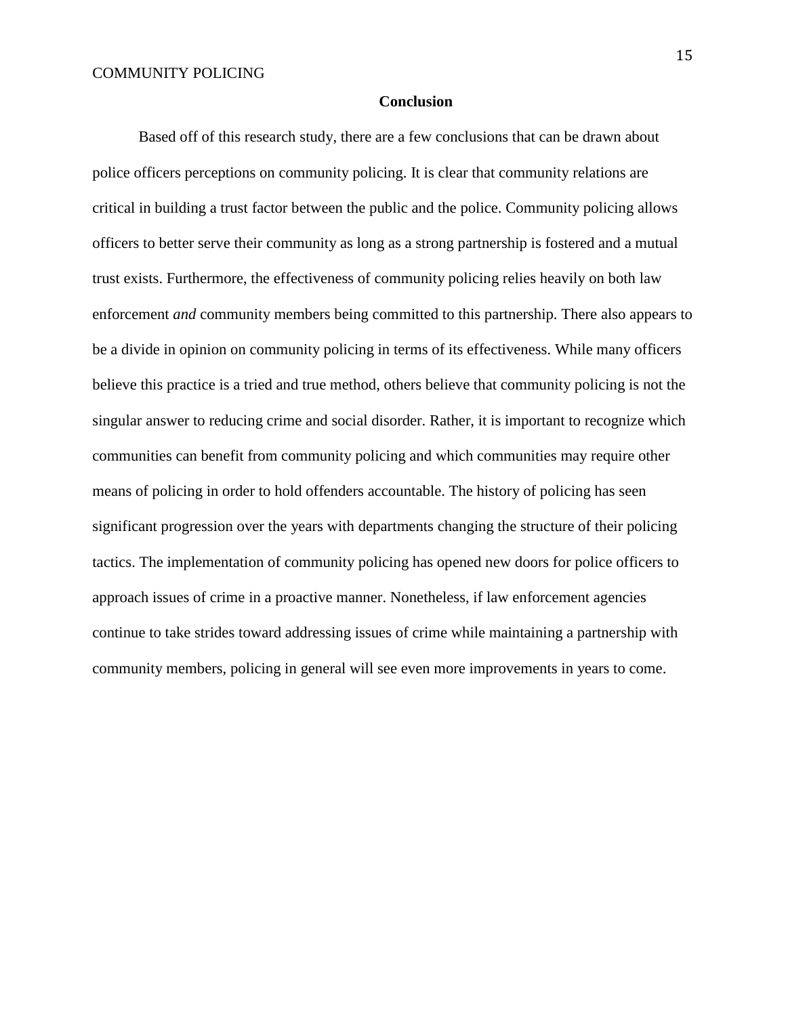#### **Conclusion**

Based off of this research study, there are a few conclusions that can be drawn about police officers perceptions on community policing. It is clear that community relations are critical in building a trust factor between the public and the police. Community policing allows officers to better serve their community as long as a strong partnership is fostered and a mutual trust exists. Furthermore, the effectiveness of community policing relies heavily on both law enforcement *and* community members being committed to this partnership. There also appears to be a divide in opinion on community policing in terms of its effectiveness. While many officers believe this practice is a tried and true method, others believe that community policing is not the singular answer to reducing crime and social disorder. Rather, it is important to recognize which communities can benefit from community policing and which communities may require other means of policing in order to hold offenders accountable. The history of policing has seen significant progression over the years with departments changing the structure of their policing tactics. The implementation of community policing has opened new doors for police officers to approach issues of crime in a proactive manner. Nonetheless, if law enforcement agencies continue to take strides toward addressing issues of crime while maintaining a partnership with community members, policing in general will see even more improvements in years to come.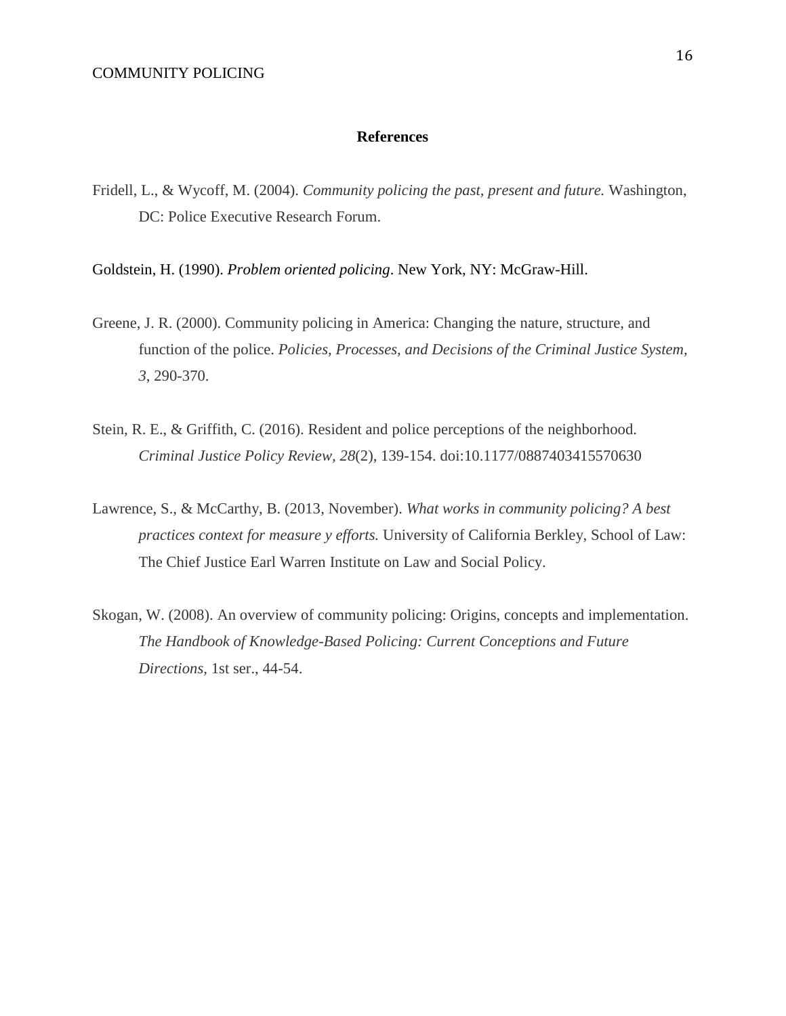#### **References**

Fridell, L., & Wycoff, M. (2004). *Community policing the past, present and future.* Washington, DC: Police Executive Research Forum.

Goldstein, H. (1990). *Problem oriented policing*. New York, NY: McGraw-Hill.

- Greene, J. R. (2000). Community policing in America: Changing the nature, structure, and function of the police. *Policies, Processes, and Decisions of the Criminal Justice System, 3*, 290-370.
- Stein, R. E., & Griffith, C. (2016). Resident and police perceptions of the neighborhood. *Criminal Justice Policy Review, 28*(2), 139-154. doi:10.1177/0887403415570630
- Lawrence, S., & McCarthy, B. (2013, November). *What works in community policing? A best practices context for measure y efforts.* University of California Berkley, School of Law: The Chief Justice Earl Warren Institute on Law and Social Policy.
- Skogan, W. (2008). An overview of community policing: Origins, concepts and implementation. *The Handbook of Knowledge-Based Policing: Current Conceptions and Future Directions,* 1st ser., 44-54.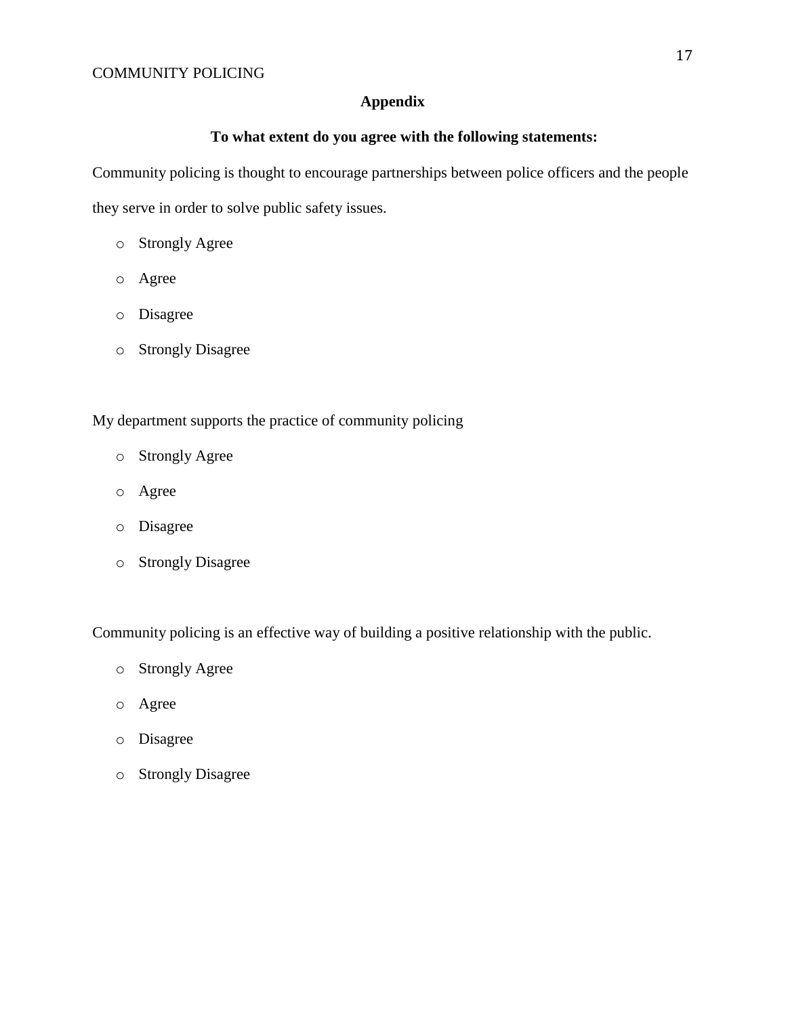# **Appendix**

# **To what extent do you agree with the following statements:**

Community policing is thought to encourage partnerships between police officers and the people they serve in order to solve public safety issues.

- o Strongly Agree
- o Agree
- o Disagree
- o Strongly Disagree

My department supports the practice of community policing

- o Strongly Agree
- o Agree
- o Disagree
- o Strongly Disagree

Community policing is an effective way of building a positive relationship with the public.

- o Strongly Agree
- o Agree
- o Disagree
- o Strongly Disagree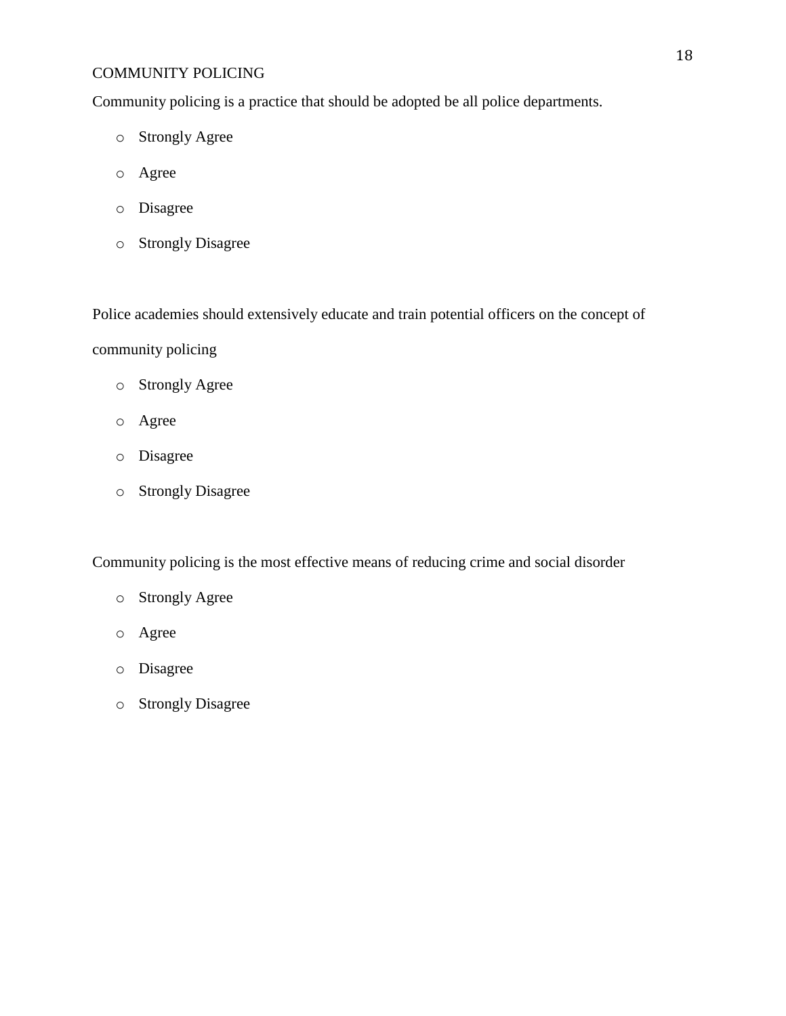Community policing is a practice that should be adopted be all police departments.

- o Strongly Agree
- o Agree
- o Disagree
- o Strongly Disagree

Police academies should extensively educate and train potential officers on the concept of

community policing

- o Strongly Agree
- o Agree
- o Disagree
- o Strongly Disagree

Community policing is the most effective means of reducing crime and social disorder

- o Strongly Agree
- o Agree
- o Disagree
- o Strongly Disagree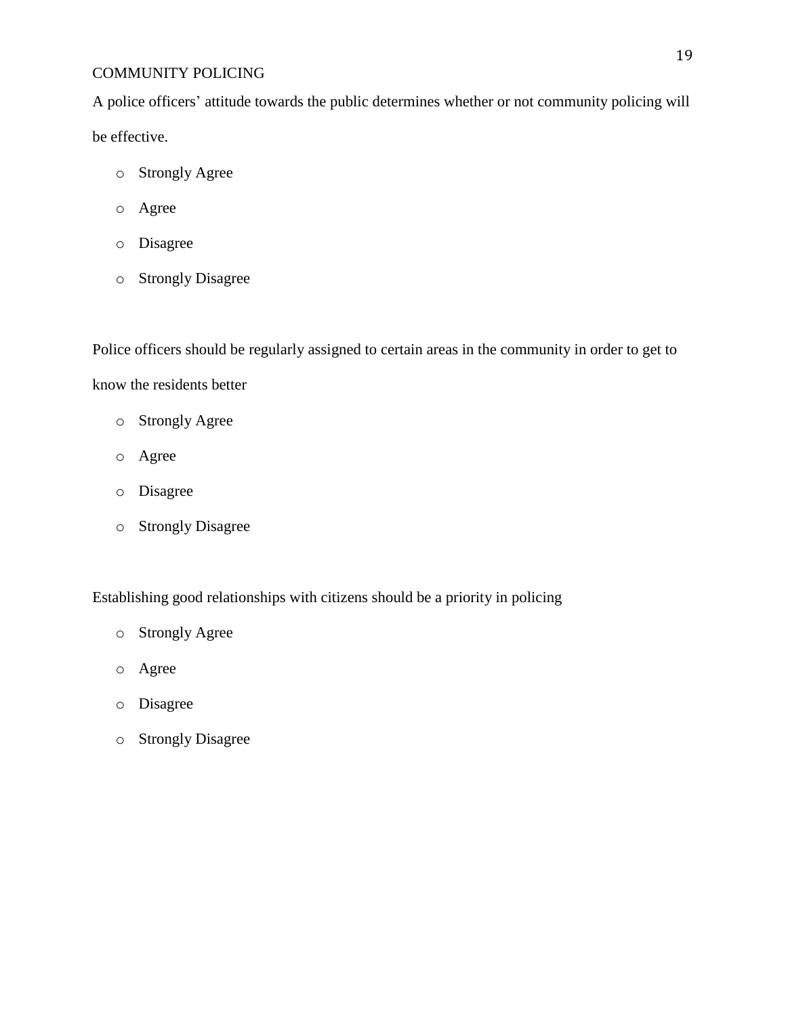A police officers' attitude towards the public determines whether or not community policing will be effective.

- o Strongly Agree
- o Agree
- o Disagree
- o Strongly Disagree

Police officers should be regularly assigned to certain areas in the community in order to get to know the residents better

- o Strongly Agree
- o Agree
- o Disagree
- o Strongly Disagree

Establishing good relationships with citizens should be a priority in policing

- o Strongly Agree
- o Agree
- o Disagree
- o Strongly Disagree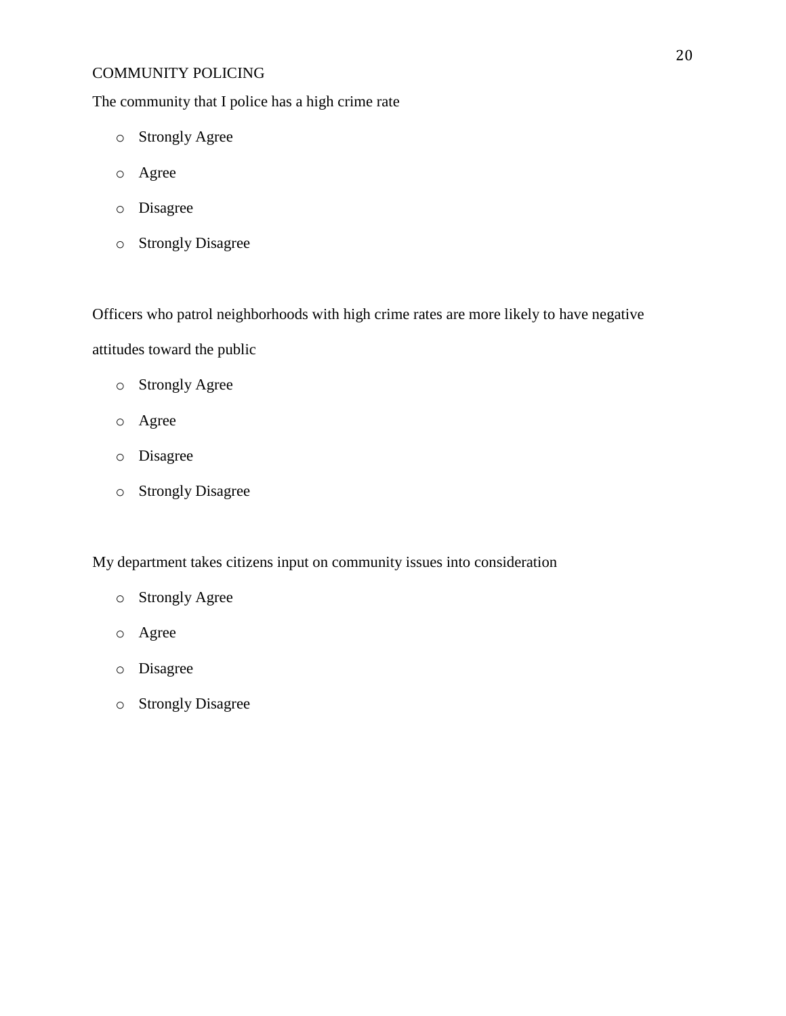The community that I police has a high crime rate

- o Strongly Agree
- o Agree
- o Disagree
- o Strongly Disagree

Officers who patrol neighborhoods with high crime rates are more likely to have negative

attitudes toward the public

- o Strongly Agree
- o Agree
- o Disagree
- o Strongly Disagree

My department takes citizens input on community issues into consideration

- o Strongly Agree
- o Agree
- o Disagree
- o Strongly Disagree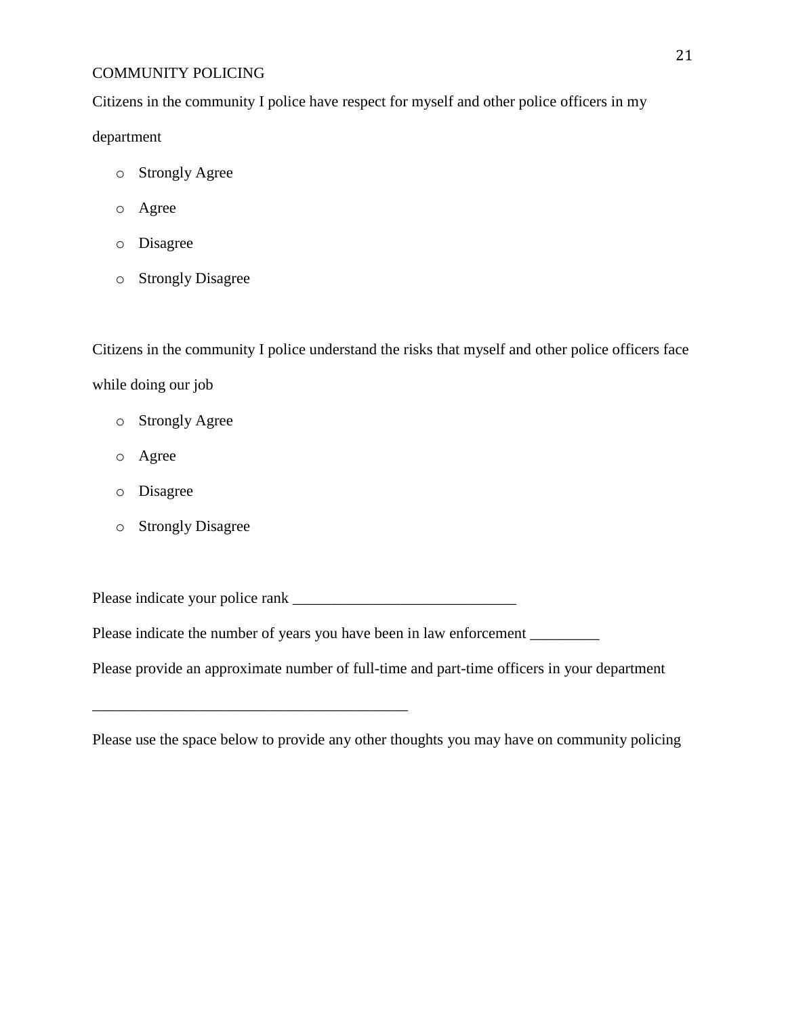Citizens in the community I police have respect for myself and other police officers in my

department

- o Strongly Agree
- o Agree
- o Disagree
- o Strongly Disagree

Citizens in the community I police understand the risks that myself and other police officers face while doing our job

- o Strongly Agree
- o Agree
- o Disagree
- o Strongly Disagree

Please indicate your police rank \_\_\_\_\_\_\_\_\_\_\_\_\_\_\_\_\_\_\_\_\_\_\_\_\_\_\_\_\_

\_\_\_\_\_\_\_\_\_\_\_\_\_\_\_\_\_\_\_\_\_\_\_\_\_\_\_\_\_\_\_\_\_\_\_\_\_\_\_\_\_

Please indicate the number of years you have been in law enforcement \_\_\_\_\_\_\_\_\_\_\_

Please provide an approximate number of full-time and part-time officers in your department

Please use the space below to provide any other thoughts you may have on community policing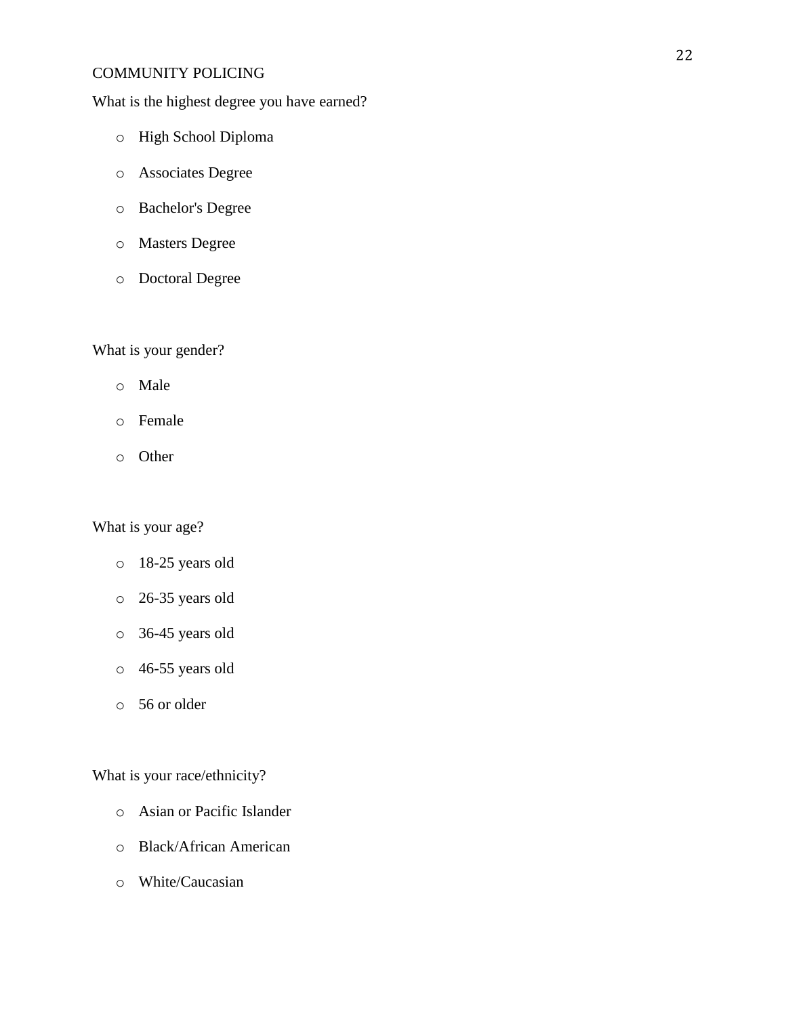What is the highest degree you have earned?

- o High School Diploma
- o Associates Degree
- o Bachelor's Degree
- o Masters Degree
- o Doctoral Degree

# What is your gender?

- o Male
- o Female
- o Other

What is your age?

- o 18-25 years old
- o 26-35 years old
- o 36-45 years old
- o 46-55 years old
- o 56 or older

What is your race/ethnicity?

- o Asian or Pacific Islander
- o Black/African American
- o White/Caucasian